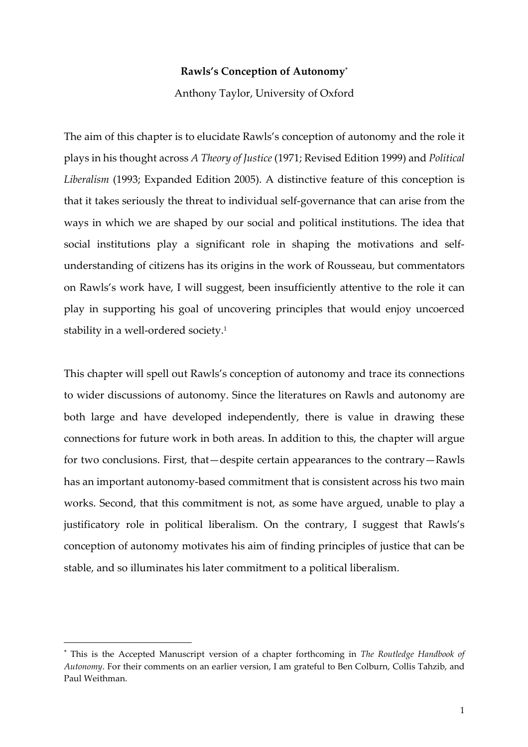# **Rawls's Conception of Autonomy\***

Anthony Taylor, University of Oxford

The aim of this chapter is to elucidate Rawls's conception of autonomy and the role it plays in his thought across *A Theory of Justice* (1971; Revised Edition 1999) and *Political Liberalism* (1993; Expanded Edition 2005). A distinctive feature of this conception is that it takes seriously the threat to individual self-governance that can arise from the ways in which we are shaped by our social and political institutions. The idea that social institutions play a significant role in shaping the motivations and selfunderstanding of citizens has its origins in the work of Rousseau, but commentators on Rawls's work have, I will suggest, been insufficiently attentive to the role it can play in supporting his goal of uncovering principles that would enjoy uncoerced stability in a well-ordered society.<sup>1</sup>

This chapter will spell out Rawls's conception of autonomy and trace its connections to wider discussions of autonomy. Since the literatures on Rawls and autonomy are both large and have developed independently, there is value in drawing these connections for future work in both areas. In addition to this, the chapter will argue for two conclusions. First, that—despite certain appearances to the contrary—Rawls has an important autonomy-based commitment that is consistent across his two main works. Second, that this commitment is not, as some have argued, unable to play a justificatory role in political liberalism. On the contrary, I suggest that Rawls's conception of autonomy motivates his aim of finding principles of justice that can be stable, and so illuminates his later commitment to a political liberalism.

l

<sup>\*</sup> This is the Accepted Manuscript version of a chapter forthcoming in *The Routledge Handbook of Autonomy*. For their comments on an earlier version, I am grateful to Ben Colburn, Collis Tahzib, and Paul Weithman.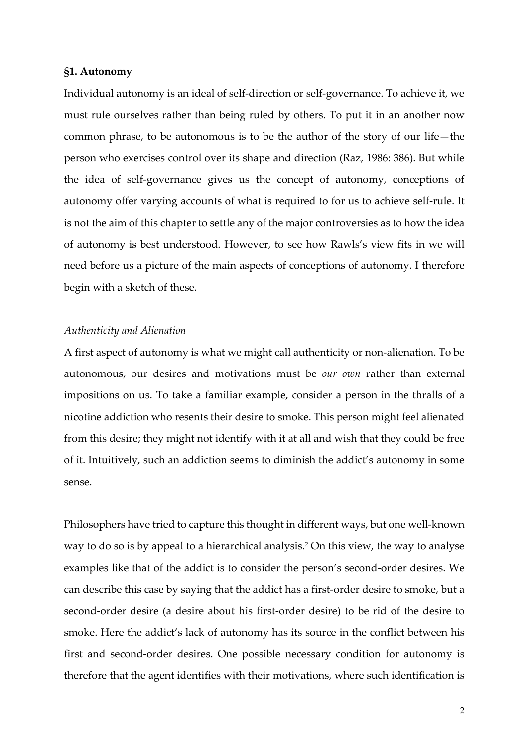# **§1. Autonomy**

Individual autonomy is an ideal of self-direction or self-governance. To achieve it, we must rule ourselves rather than being ruled by others. To put it in an another now common phrase, to be autonomous is to be the author of the story of our life—the person who exercises control over its shape and direction (Raz, 1986: 386). But while the idea of self-governance gives us the concept of autonomy, conceptions of autonomy offer varying accounts of what is required to for us to achieve self-rule. It is not the aim of this chapter to settle any of the major controversies as to how the idea of autonomy is best understood. However, to see how Rawls's view fits in we will need before us a picture of the main aspects of conceptions of autonomy. I therefore begin with a sketch of these.

# *Authenticity and Alienation*

A first aspect of autonomy is what we might call authenticity or non-alienation. To be autonomous, our desires and motivations must be *our own* rather than external impositions on us. To take a familiar example, consider a person in the thralls of a nicotine addiction who resents their desire to smoke. This person might feel alienated from this desire; they might not identify with it at all and wish that they could be free of it. Intuitively, such an addiction seems to diminish the addict's autonomy in some sense.

Philosophers have tried to capture this thought in different ways, but one well-known way to do so is by appeal to a hierarchical analysis.<sup>2</sup> On this view, the way to analyse examples like that of the addict is to consider the person's second-order desires. We can describe this case by saying that the addict has a first-order desire to smoke, but a second-order desire (a desire about his first-order desire) to be rid of the desire to smoke. Here the addict's lack of autonomy has its source in the conflict between his first and second-order desires. One possible necessary condition for autonomy is therefore that the agent identifies with their motivations, where such identification is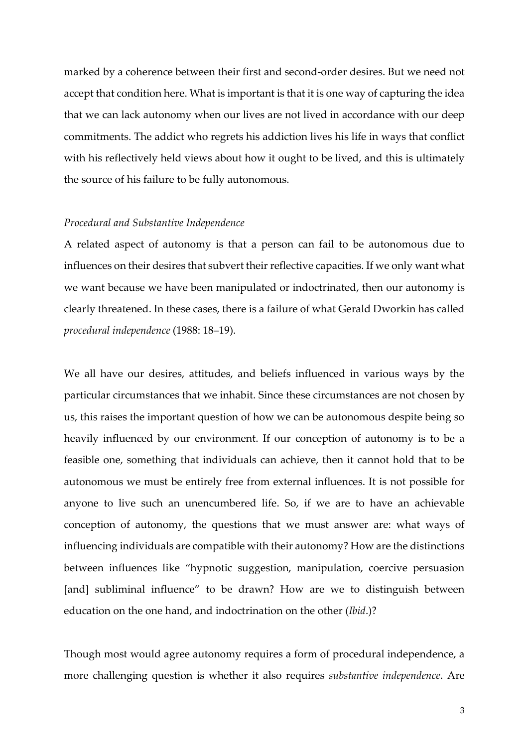marked by a coherence between their first and second-order desires. But we need not accept that condition here. What is important is that it is one way of capturing the idea that we can lack autonomy when our lives are not lived in accordance with our deep commitments. The addict who regrets his addiction lives his life in ways that conflict with his reflectively held views about how it ought to be lived, and this is ultimately the source of his failure to be fully autonomous.

#### *Procedural and Substantive Independence*

A related aspect of autonomy is that a person can fail to be autonomous due to influences on their desires that subvert their reflective capacities. If we only want what we want because we have been manipulated or indoctrinated, then our autonomy is clearly threatened. In these cases, there is a failure of what Gerald Dworkin has called *procedural independence* (1988: 18–19).

We all have our desires, attitudes, and beliefs influenced in various ways by the particular circumstances that we inhabit. Since these circumstances are not chosen by us, this raises the important question of how we can be autonomous despite being so heavily influenced by our environment. If our conception of autonomy is to be a feasible one, something that individuals can achieve, then it cannot hold that to be autonomous we must be entirely free from external influences. It is not possible for anyone to live such an unencumbered life. So, if we are to have an achievable conception of autonomy, the questions that we must answer are: what ways of influencing individuals are compatible with their autonomy? How are the distinctions between influences like "hypnotic suggestion, manipulation, coercive persuasion [and] subliminal influence" to be drawn? How are we to distinguish between education on the one hand, and indoctrination on the other (*Ibid*.)?

Though most would agree autonomy requires a form of procedural independence, a more challenging question is whether it also requires *substantive independence*. Are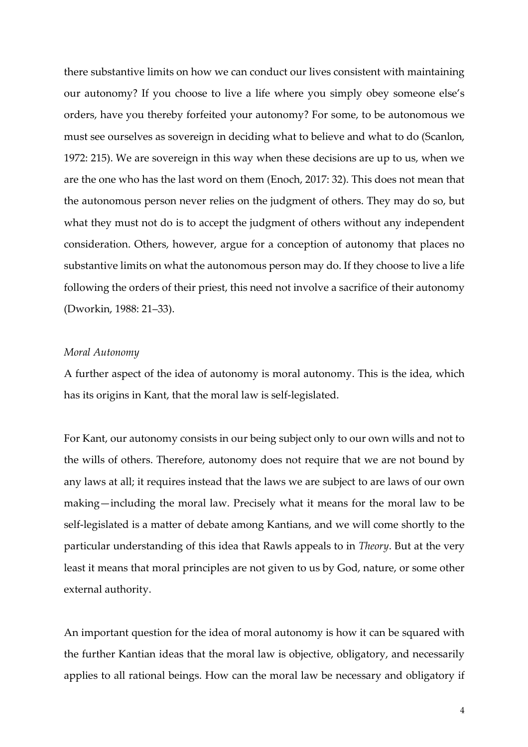there substantive limits on how we can conduct our lives consistent with maintaining our autonomy? If you choose to live a life where you simply obey someone else's orders, have you thereby forfeited your autonomy? For some, to be autonomous we must see ourselves as sovereign in deciding what to believe and what to do (Scanlon, 1972: 215). We are sovereign in this way when these decisions are up to us, when we are the one who has the last word on them (Enoch, 2017: 32). This does not mean that the autonomous person never relies on the judgment of others. They may do so, but what they must not do is to accept the judgment of others without any independent consideration. Others, however, argue for a conception of autonomy that places no substantive limits on what the autonomous person may do. If they choose to live a life following the orders of their priest, this need not involve a sacrifice of their autonomy (Dworkin, 1988: 21–33).

# *Moral Autonomy*

A further aspect of the idea of autonomy is moral autonomy. This is the idea, which has its origins in Kant, that the moral law is self-legislated.

For Kant, our autonomy consists in our being subject only to our own wills and not to the wills of others. Therefore, autonomy does not require that we are not bound by any laws at all; it requires instead that the laws we are subject to are laws of our own making—including the moral law. Precisely what it means for the moral law to be self-legislated is a matter of debate among Kantians, and we will come shortly to the particular understanding of this idea that Rawls appeals to in *Theory*. But at the very least it means that moral principles are not given to us by God, nature, or some other external authority.

An important question for the idea of moral autonomy is how it can be squared with the further Kantian ideas that the moral law is objective, obligatory, and necessarily applies to all rational beings. How can the moral law be necessary and obligatory if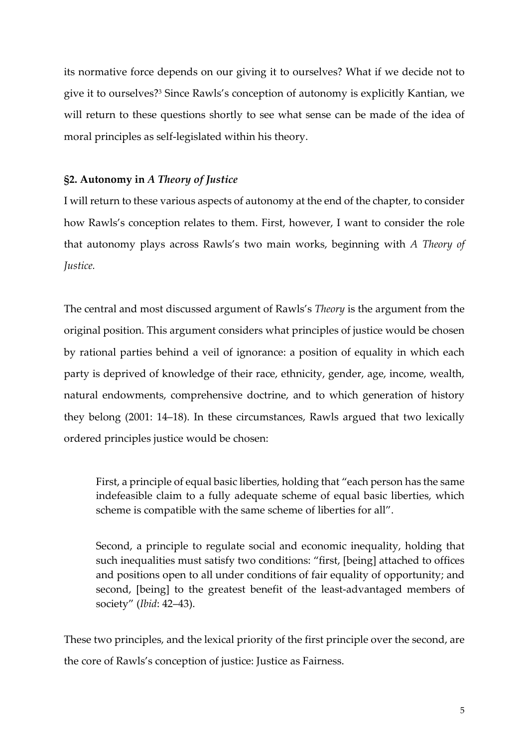its normative force depends on our giving it to ourselves? What if we decide not to give it to ourselves?<sup>3</sup> Since Rawls's conception of autonomy is explicitly Kantian, we will return to these questions shortly to see what sense can be made of the idea of moral principles as self-legislated within his theory.

# **§2. Autonomy in** *A Theory of Justice*

I will return to these various aspects of autonomy at the end of the chapter, to consider how Rawls's conception relates to them. First, however, I want to consider the role that autonomy plays across Rawls's two main works, beginning with *A Theory of Justice.*

The central and most discussed argument of Rawls's *Theory* is the argument from the original position. This argument considers what principles of justice would be chosen by rational parties behind a veil of ignorance: a position of equality in which each party is deprived of knowledge of their race, ethnicity, gender, age, income, wealth, natural endowments, comprehensive doctrine, and to which generation of history they belong (2001: 14–18). In these circumstances, Rawls argued that two lexically ordered principles justice would be chosen:

First, a principle of equal basic liberties, holding that "each person has the same indefeasible claim to a fully adequate scheme of equal basic liberties, which scheme is compatible with the same scheme of liberties for all".

Second, a principle to regulate social and economic inequality, holding that such inequalities must satisfy two conditions: "first, [being] attached to offices and positions open to all under conditions of fair equality of opportunity; and second, [being] to the greatest benefit of the least-advantaged members of society" (*Ibid*: 42–43).

These two principles, and the lexical priority of the first principle over the second, are the core of Rawls's conception of justice: Justice as Fairness.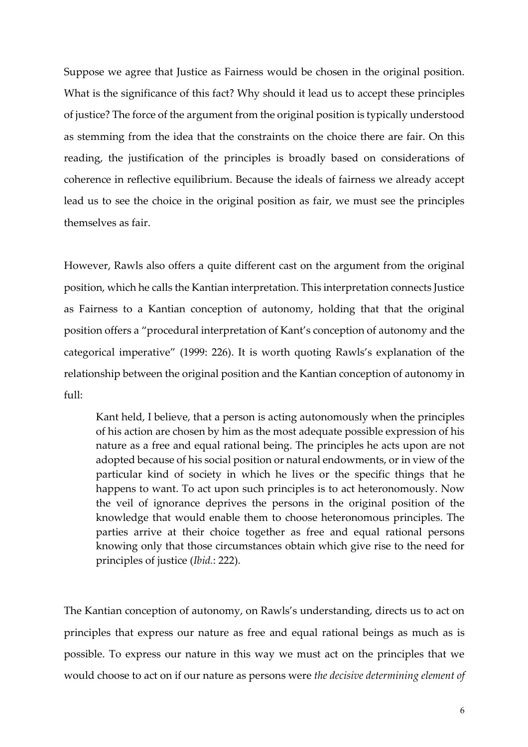Suppose we agree that Justice as Fairness would be chosen in the original position. What is the significance of this fact? Why should it lead us to accept these principles of justice? The force of the argument from the original position is typically understood as stemming from the idea that the constraints on the choice there are fair. On this reading, the justification of the principles is broadly based on considerations of coherence in reflective equilibrium. Because the ideals of fairness we already accept lead us to see the choice in the original position as fair, we must see the principles themselves as fair.

However, Rawls also offers a quite different cast on the argument from the original position, which he calls the Kantian interpretation. This interpretation connects Justice as Fairness to a Kantian conception of autonomy, holding that that the original position offers a "procedural interpretation of Kant's conception of autonomy and the categorical imperative" (1999: 226). It is worth quoting Rawls's explanation of the relationship between the original position and the Kantian conception of autonomy in full:

Kant held, I believe, that a person is acting autonomously when the principles of his action are chosen by him as the most adequate possible expression of his nature as a free and equal rational being. The principles he acts upon are not adopted because of his social position or natural endowments, or in view of the particular kind of society in which he lives or the specific things that he happens to want. To act upon such principles is to act heteronomously. Now the veil of ignorance deprives the persons in the original position of the knowledge that would enable them to choose heteronomous principles. The parties arrive at their choice together as free and equal rational persons knowing only that those circumstances obtain which give rise to the need for principles of justice (*Ibid.*: 222).

The Kantian conception of autonomy, on Rawls's understanding, directs us to act on principles that express our nature as free and equal rational beings as much as is possible. To express our nature in this way we must act on the principles that we would choose to act on if our nature as persons were *the decisive determining element of*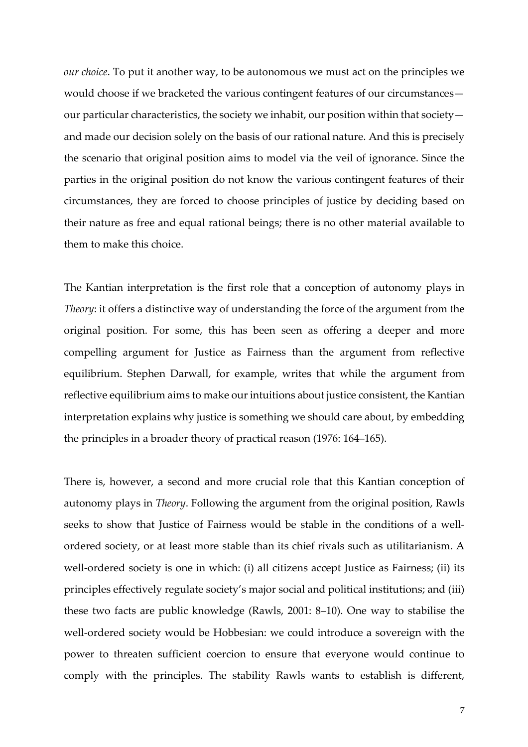*our choice*. To put it another way, to be autonomous we must act on the principles we would choose if we bracketed the various contingent features of our circumstances our particular characteristics, the society we inhabit, our position within that society and made our decision solely on the basis of our rational nature. And this is precisely the scenario that original position aims to model via the veil of ignorance. Since the parties in the original position do not know the various contingent features of their circumstances, they are forced to choose principles of justice by deciding based on their nature as free and equal rational beings; there is no other material available to them to make this choice.

The Kantian interpretation is the first role that a conception of autonomy plays in *Theory*: it offers a distinctive way of understanding the force of the argument from the original position. For some, this has been seen as offering a deeper and more compelling argument for Justice as Fairness than the argument from reflective equilibrium. Stephen Darwall, for example, writes that while the argument from reflective equilibrium aims to make our intuitions about justice consistent, the Kantian interpretation explains why justice is something we should care about, by embedding the principles in a broader theory of practical reason (1976: 164–165).

There is, however, a second and more crucial role that this Kantian conception of autonomy plays in *Theory*. Following the argument from the original position, Rawls seeks to show that Justice of Fairness would be stable in the conditions of a wellordered society, or at least more stable than its chief rivals such as utilitarianism. A well-ordered society is one in which: (i) all citizens accept Justice as Fairness; (ii) its principles effectively regulate society's major social and political institutions; and (iii) these two facts are public knowledge (Rawls, 2001: 8–10). One way to stabilise the well-ordered society would be Hobbesian: we could introduce a sovereign with the power to threaten sufficient coercion to ensure that everyone would continue to comply with the principles. The stability Rawls wants to establish is different,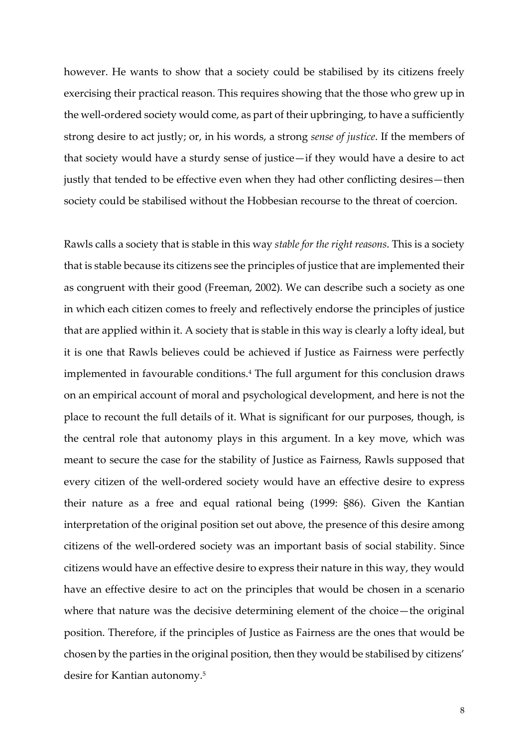however. He wants to show that a society could be stabilised by its citizens freely exercising their practical reason. This requires showing that the those who grew up in the well-ordered society would come, as part of their upbringing, to have a sufficiently strong desire to act justly; or, in his words, a strong *sense of justice*. If the members of that society would have a sturdy sense of justice—if they would have a desire to act justly that tended to be effective even when they had other conflicting desires—then society could be stabilised without the Hobbesian recourse to the threat of coercion.

Rawls calls a society that is stable in this way *stable for the right reasons*. This is a society that is stable because its citizens see the principles of justice that are implemented their as congruent with their good (Freeman, 2002). We can describe such a society as one in which each citizen comes to freely and reflectively endorse the principles of justice that are applied within it. A society that is stable in this way is clearly a lofty ideal, but it is one that Rawls believes could be achieved if Justice as Fairness were perfectly implemented in favourable conditions.<sup>4</sup> The full argument for this conclusion draws on an empirical account of moral and psychological development, and here is not the place to recount the full details of it. What is significant for our purposes, though, is the central role that autonomy plays in this argument. In a key move, which was meant to secure the case for the stability of Justice as Fairness, Rawls supposed that every citizen of the well-ordered society would have an effective desire to express their nature as a free and equal rational being (1999: §86). Given the Kantian interpretation of the original position set out above, the presence of this desire among citizens of the well-ordered society was an important basis of social stability. Since citizens would have an effective desire to express their nature in this way, they would have an effective desire to act on the principles that would be chosen in a scenario where that nature was the decisive determining element of the choice—the original position. Therefore, if the principles of Justice as Fairness are the ones that would be chosen by the parties in the original position, then they would be stabilised by citizens' desire for Kantian autonomy.5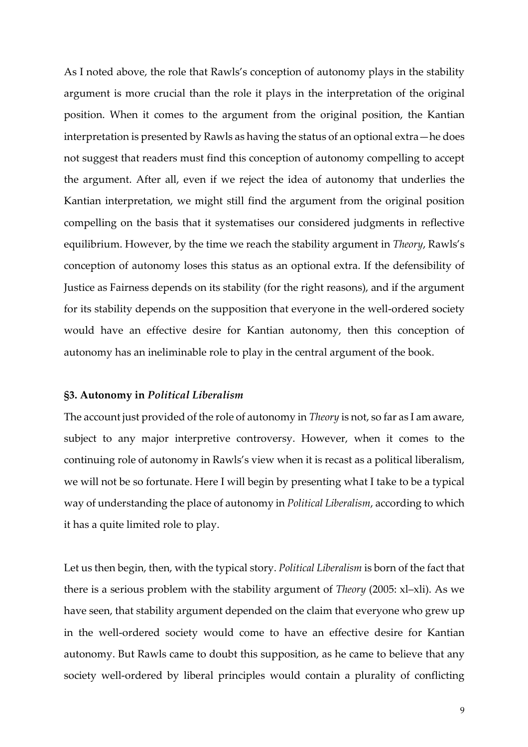As I noted above, the role that Rawls's conception of autonomy plays in the stability argument is more crucial than the role it plays in the interpretation of the original position. When it comes to the argument from the original position, the Kantian interpretation is presented by Rawls as having the status of an optional extra—he does not suggest that readers must find this conception of autonomy compelling to accept the argument. After all, even if we reject the idea of autonomy that underlies the Kantian interpretation, we might still find the argument from the original position compelling on the basis that it systematises our considered judgments in reflective equilibrium. However, by the time we reach the stability argument in *Theory*, Rawls's conception of autonomy loses this status as an optional extra. If the defensibility of Justice as Fairness depends on its stability (for the right reasons), and if the argument for its stability depends on the supposition that everyone in the well-ordered society would have an effective desire for Kantian autonomy, then this conception of autonomy has an ineliminable role to play in the central argument of the book.

# **§3. Autonomy in** *Political Liberalism*

The account just provided of the role of autonomy in *Theory* is not, so far as I am aware, subject to any major interpretive controversy. However, when it comes to the continuing role of autonomy in Rawls's view when it is recast as a political liberalism, we will not be so fortunate. Here I will begin by presenting what I take to be a typical way of understanding the place of autonomy in *Political Liberalism*, according to which it has a quite limited role to play.

Let us then begin, then, with the typical story. *Political Liberalism* is born of the fact that there is a serious problem with the stability argument of *Theory* (2005: xl–xli). As we have seen, that stability argument depended on the claim that everyone who grew up in the well-ordered society would come to have an effective desire for Kantian autonomy. But Rawls came to doubt this supposition, as he came to believe that any society well-ordered by liberal principles would contain a plurality of conflicting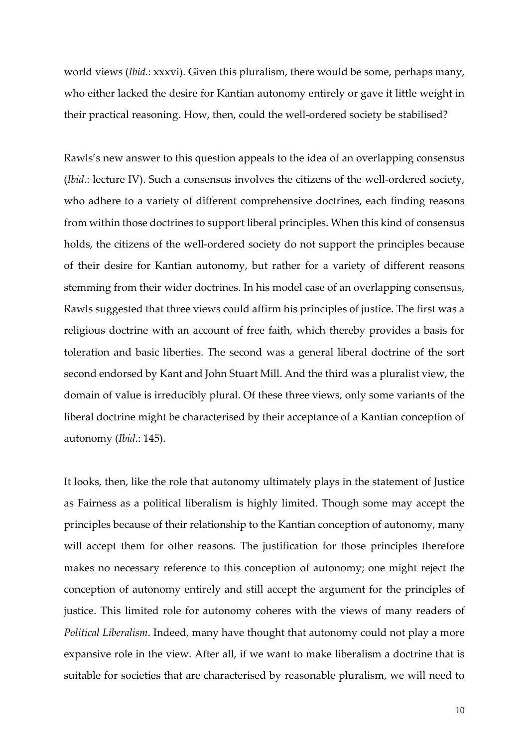world views (*Ibid.*: xxxvi). Given this pluralism, there would be some, perhaps many, who either lacked the desire for Kantian autonomy entirely or gave it little weight in their practical reasoning. How, then, could the well-ordered society be stabilised?

Rawls's new answer to this question appeals to the idea of an overlapping consensus (*Ibid.*: lecture IV). Such a consensus involves the citizens of the well-ordered society, who adhere to a variety of different comprehensive doctrines, each finding reasons from within those doctrines to support liberal principles. When this kind of consensus holds, the citizens of the well-ordered society do not support the principles because of their desire for Kantian autonomy, but rather for a variety of different reasons stemming from their wider doctrines. In his model case of an overlapping consensus, Rawls suggested that three views could affirm his principles of justice. The first was a religious doctrine with an account of free faith, which thereby provides a basis for toleration and basic liberties. The second was a general liberal doctrine of the sort second endorsed by Kant and John Stuart Mill. And the third was a pluralist view, the domain of value is irreducibly plural. Of these three views, only some variants of the liberal doctrine might be characterised by their acceptance of a Kantian conception of autonomy (*Ibid.*: 145).

It looks, then, like the role that autonomy ultimately plays in the statement of Justice as Fairness as a political liberalism is highly limited. Though some may accept the principles because of their relationship to the Kantian conception of autonomy, many will accept them for other reasons. The justification for those principles therefore makes no necessary reference to this conception of autonomy; one might reject the conception of autonomy entirely and still accept the argument for the principles of justice. This limited role for autonomy coheres with the views of many readers of *Political Liberalism*. Indeed, many have thought that autonomy could not play a more expansive role in the view. After all, if we want to make liberalism a doctrine that is suitable for societies that are characterised by reasonable pluralism, we will need to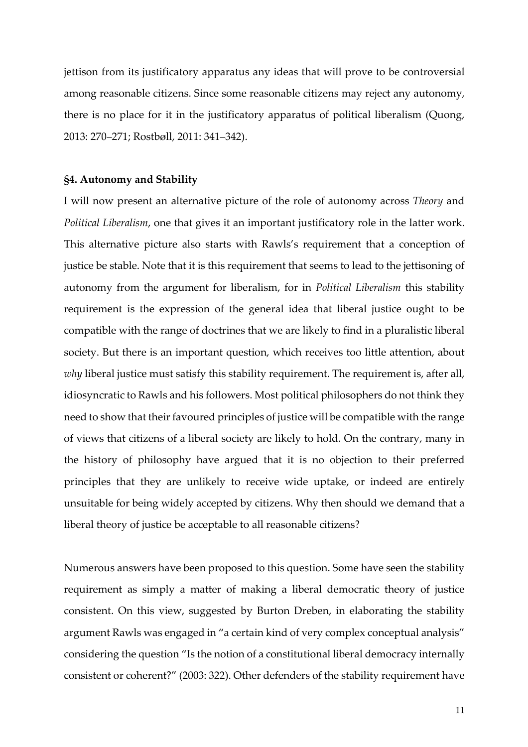jettison from its justificatory apparatus any ideas that will prove to be controversial among reasonable citizens. Since some reasonable citizens may reject any autonomy, there is no place for it in the justificatory apparatus of political liberalism (Quong, 2013: 270–271; Rostbøll, 2011: 341–342).

# **§4. Autonomy and Stability**

I will now present an alternative picture of the role of autonomy across *Theory* and *Political Liberalism*, one that gives it an important justificatory role in the latter work. This alternative picture also starts with Rawls's requirement that a conception of justice be stable. Note that it is this requirement that seems to lead to the jettisoning of autonomy from the argument for liberalism, for in *Political Liberalism* this stability requirement is the expression of the general idea that liberal justice ought to be compatible with the range of doctrines that we are likely to find in a pluralistic liberal society. But there is an important question, which receives too little attention, about *why* liberal justice must satisfy this stability requirement. The requirement is, after all, idiosyncratic to Rawls and his followers. Most political philosophers do not think they need to show that their favoured principles of justice will be compatible with the range of views that citizens of a liberal society are likely to hold. On the contrary, many in the history of philosophy have argued that it is no objection to their preferred principles that they are unlikely to receive wide uptake, or indeed are entirely unsuitable for being widely accepted by citizens. Why then should we demand that a liberal theory of justice be acceptable to all reasonable citizens?

Numerous answers have been proposed to this question. Some have seen the stability requirement as simply a matter of making a liberal democratic theory of justice consistent. On this view, suggested by Burton Dreben, in elaborating the stability argument Rawls was engaged in "a certain kind of very complex conceptual analysis" considering the question "Is the notion of a constitutional liberal democracy internally consistent or coherent?" (2003: 322). Other defenders of the stability requirement have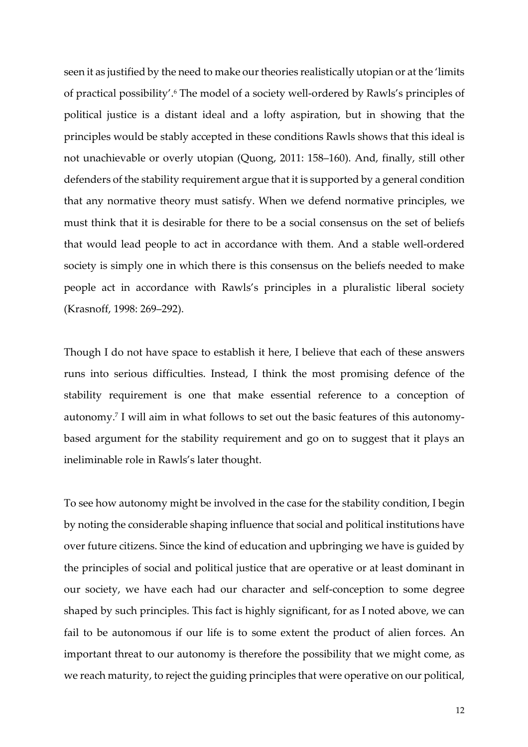seen it as justified by the need to make our theories realistically utopian or at the 'limits of practical possibility'.<sup>6</sup> The model of a society well-ordered by Rawls's principles of political justice is a distant ideal and a lofty aspiration, but in showing that the principles would be stably accepted in these conditions Rawls shows that this ideal is not unachievable or overly utopian (Quong, 2011: 158–160). And, finally, still other defenders of the stability requirement argue that it is supported by a general condition that any normative theory must satisfy. When we defend normative principles, we must think that it is desirable for there to be a social consensus on the set of beliefs that would lead people to act in accordance with them. And a stable well-ordered society is simply one in which there is this consensus on the beliefs needed to make people act in accordance with Rawls's principles in a pluralistic liberal society (Krasnoff, 1998: 269–292).

Though I do not have space to establish it here, I believe that each of these answers runs into serious difficulties. Instead, I think the most promising defence of the stability requirement is one that make essential reference to a conception of autonomy.<sup>7</sup> I will aim in what follows to set out the basic features of this autonomybased argument for the stability requirement and go on to suggest that it plays an ineliminable role in Rawls's later thought.

To see how autonomy might be involved in the case for the stability condition, I begin by noting the considerable shaping influence that social and political institutions have over future citizens. Since the kind of education and upbringing we have is guided by the principles of social and political justice that are operative or at least dominant in our society, we have each had our character and self-conception to some degree shaped by such principles. This fact is highly significant, for as I noted above, we can fail to be autonomous if our life is to some extent the product of alien forces. An important threat to our autonomy is therefore the possibility that we might come, as we reach maturity, to reject the guiding principles that were operative on our political,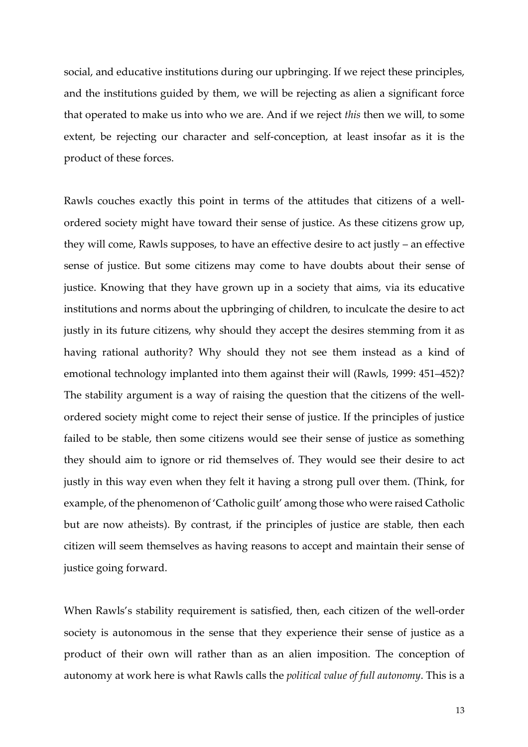social, and educative institutions during our upbringing. If we reject these principles, and the institutions guided by them, we will be rejecting as alien a significant force that operated to make us into who we are. And if we reject *this* then we will, to some extent, be rejecting our character and self-conception, at least insofar as it is the product of these forces.

Rawls couches exactly this point in terms of the attitudes that citizens of a wellordered society might have toward their sense of justice. As these citizens grow up, they will come, Rawls supposes, to have an effective desire to act justly – an effective sense of justice. But some citizens may come to have doubts about their sense of justice. Knowing that they have grown up in a society that aims, via its educative institutions and norms about the upbringing of children, to inculcate the desire to act justly in its future citizens, why should they accept the desires stemming from it as having rational authority? Why should they not see them instead as a kind of emotional technology implanted into them against their will (Rawls, 1999: 451–452)? The stability argument is a way of raising the question that the citizens of the wellordered society might come to reject their sense of justice. If the principles of justice failed to be stable, then some citizens would see their sense of justice as something they should aim to ignore or rid themselves of. They would see their desire to act justly in this way even when they felt it having a strong pull over them. (Think, for example, of the phenomenon of 'Catholic guilt' among those who were raised Catholic but are now atheists). By contrast, if the principles of justice are stable, then each citizen will seem themselves as having reasons to accept and maintain their sense of justice going forward.

When Rawls's stability requirement is satisfied, then, each citizen of the well-order society is autonomous in the sense that they experience their sense of justice as a product of their own will rather than as an alien imposition. The conception of autonomy at work here is what Rawls calls the *political value of full autonomy*. This is a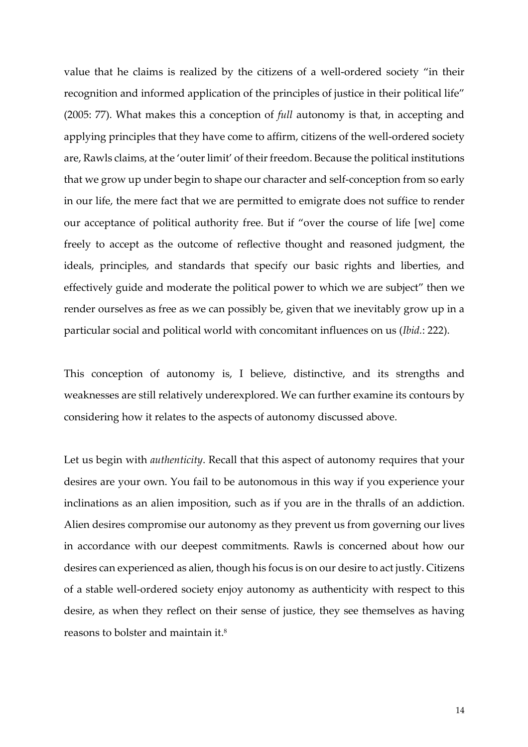value that he claims is realized by the citizens of a well-ordered society "in their recognition and informed application of the principles of justice in their political life" (2005: 77). What makes this a conception of *full* autonomy is that, in accepting and applying principles that they have come to affirm, citizens of the well-ordered society are, Rawls claims, at the 'outer limit' of their freedom. Because the political institutions that we grow up under begin to shape our character and self-conception from so early in our life, the mere fact that we are permitted to emigrate does not suffice to render our acceptance of political authority free. But if "over the course of life [we] come freely to accept as the outcome of reflective thought and reasoned judgment, the ideals, principles, and standards that specify our basic rights and liberties, and effectively guide and moderate the political power to which we are subject" then we render ourselves as free as we can possibly be, given that we inevitably grow up in a particular social and political world with concomitant influences on us (*Ibid.*: 222).

This conception of autonomy is, I believe, distinctive, and its strengths and weaknesses are still relatively underexplored. We can further examine its contours by considering how it relates to the aspects of autonomy discussed above.

Let us begin with *authenticity*. Recall that this aspect of autonomy requires that your desires are your own. You fail to be autonomous in this way if you experience your inclinations as an alien imposition, such as if you are in the thralls of an addiction. Alien desires compromise our autonomy as they prevent us from governing our lives in accordance with our deepest commitments. Rawls is concerned about how our desires can experienced as alien, though his focus is on our desire to act justly. Citizens of a stable well-ordered society enjoy autonomy as authenticity with respect to this desire, as when they reflect on their sense of justice, they see themselves as having reasons to bolster and maintain it.8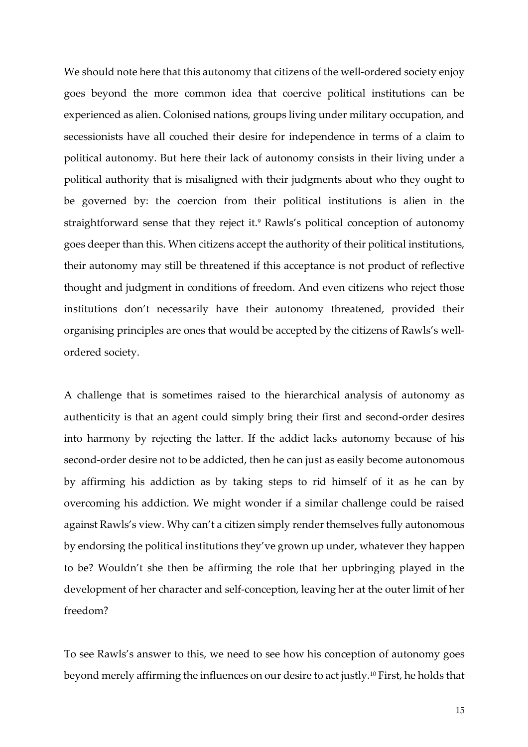We should note here that this autonomy that citizens of the well-ordered society enjoy goes beyond the more common idea that coercive political institutions can be experienced as alien. Colonised nations, groups living under military occupation, and secessionists have all couched their desire for independence in terms of a claim to political autonomy. But here their lack of autonomy consists in their living under a political authority that is misaligned with their judgments about who they ought to be governed by: the coercion from their political institutions is alien in the straightforward sense that they reject it.<sup>9</sup> Rawls's political conception of autonomy goes deeper than this. When citizens accept the authority of their political institutions, their autonomy may still be threatened if this acceptance is not product of reflective thought and judgment in conditions of freedom. And even citizens who reject those institutions don't necessarily have their autonomy threatened, provided their organising principles are ones that would be accepted by the citizens of Rawls's wellordered society.

A challenge that is sometimes raised to the hierarchical analysis of autonomy as authenticity is that an agent could simply bring their first and second-order desires into harmony by rejecting the latter. If the addict lacks autonomy because of his second-order desire not to be addicted, then he can just as easily become autonomous by affirming his addiction as by taking steps to rid himself of it as he can by overcoming his addiction. We might wonder if a similar challenge could be raised against Rawls's view. Why can't a citizen simply render themselves fully autonomous by endorsing the political institutions they've grown up under, whatever they happen to be? Wouldn't she then be affirming the role that her upbringing played in the development of her character and self-conception, leaving her at the outer limit of her freedom?

To see Rawls's answer to this, we need to see how his conception of autonomy goes beyond merely affirming the influences on our desire to act justly.10 First, he holds that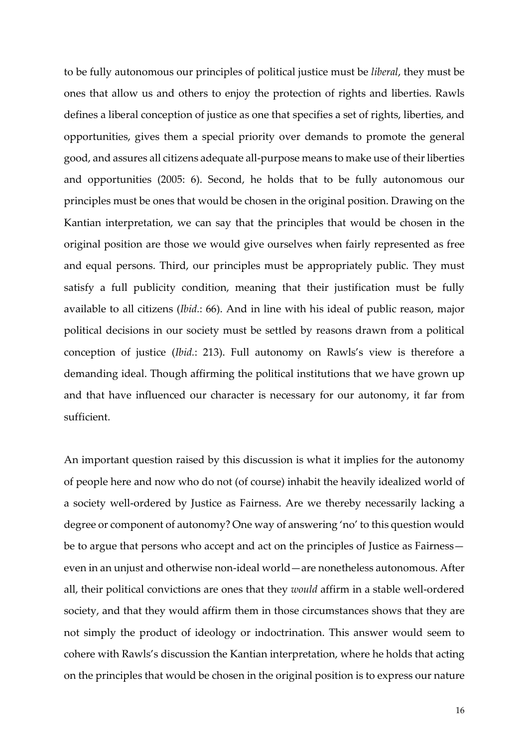to be fully autonomous our principles of political justice must be *liberal*, they must be ones that allow us and others to enjoy the protection of rights and liberties. Rawls defines a liberal conception of justice as one that specifies a set of rights, liberties, and opportunities, gives them a special priority over demands to promote the general good, and assures all citizens adequate all-purpose means to make use of their liberties and opportunities (2005: 6). Second, he holds that to be fully autonomous our principles must be ones that would be chosen in the original position. Drawing on the Kantian interpretation, we can say that the principles that would be chosen in the original position are those we would give ourselves when fairly represented as free and equal persons. Third, our principles must be appropriately public. They must satisfy a full publicity condition, meaning that their justification must be fully available to all citizens (*Ibid.*: 66). And in line with his ideal of public reason, major political decisions in our society must be settled by reasons drawn from a political conception of justice (*Ibid.*: 213). Full autonomy on Rawls's view is therefore a demanding ideal. Though affirming the political institutions that we have grown up and that have influenced our character is necessary for our autonomy, it far from sufficient.

An important question raised by this discussion is what it implies for the autonomy of people here and now who do not (of course) inhabit the heavily idealized world of a society well-ordered by Justice as Fairness. Are we thereby necessarily lacking a degree or component of autonomy? One way of answering 'no' to this question would be to argue that persons who accept and act on the principles of Justice as Fairness even in an unjust and otherwise non-ideal world—are nonetheless autonomous. After all, their political convictions are ones that they *would* affirm in a stable well-ordered society, and that they would affirm them in those circumstances shows that they are not simply the product of ideology or indoctrination. This answer would seem to cohere with Rawls's discussion the Kantian interpretation, where he holds that acting on the principles that would be chosen in the original position is to express our nature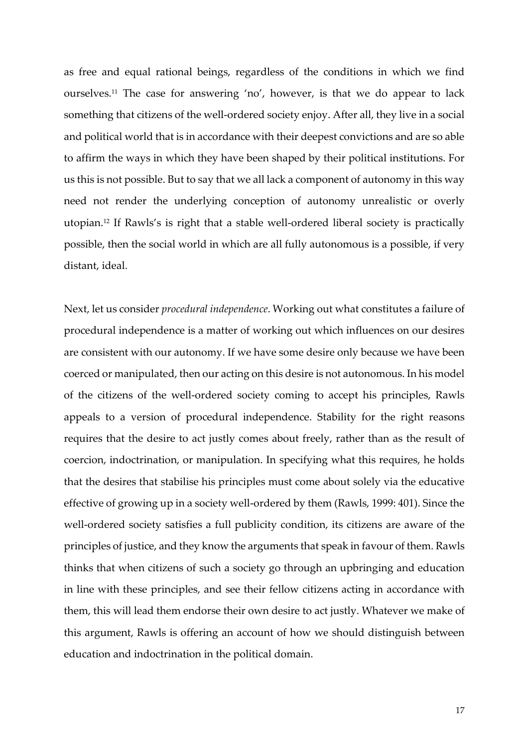as free and equal rational beings, regardless of the conditions in which we find ourselves.11 The case for answering 'no', however, is that we do appear to lack something that citizens of the well-ordered society enjoy. After all, they live in a social and political world that is in accordance with their deepest convictions and are so able to affirm the ways in which they have been shaped by their political institutions. For us this is not possible. But to say that we all lack a component of autonomy in this way need not render the underlying conception of autonomy unrealistic or overly utopian.12 If Rawls's is right that a stable well-ordered liberal society is practically possible, then the social world in which are all fully autonomous is a possible, if very distant, ideal.

Next, let us consider *procedural independence*. Working out what constitutes a failure of procedural independence is a matter of working out which influences on our desires are consistent with our autonomy. If we have some desire only because we have been coerced or manipulated, then our acting on this desire is not autonomous. In his model of the citizens of the well-ordered society coming to accept his principles, Rawls appeals to a version of procedural independence. Stability for the right reasons requires that the desire to act justly comes about freely, rather than as the result of coercion, indoctrination, or manipulation. In specifying what this requires, he holds that the desires that stabilise his principles must come about solely via the educative effective of growing up in a society well-ordered by them (Rawls, 1999: 401). Since the well-ordered society satisfies a full publicity condition, its citizens are aware of the principles of justice, and they know the arguments that speak in favour of them. Rawls thinks that when citizens of such a society go through an upbringing and education in line with these principles, and see their fellow citizens acting in accordance with them, this will lead them endorse their own desire to act justly. Whatever we make of this argument, Rawls is offering an account of how we should distinguish between education and indoctrination in the political domain.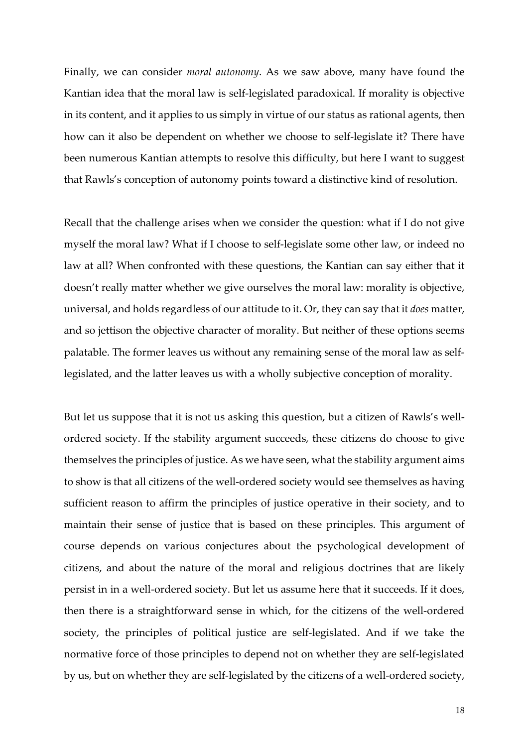Finally, we can consider *moral autonomy*. As we saw above, many have found the Kantian idea that the moral law is self-legislated paradoxical. If morality is objective in its content, and it applies to us simply in virtue of our status as rational agents, then how can it also be dependent on whether we choose to self-legislate it? There have been numerous Kantian attempts to resolve this difficulty, but here I want to suggest that Rawls's conception of autonomy points toward a distinctive kind of resolution.

Recall that the challenge arises when we consider the question: what if I do not give myself the moral law? What if I choose to self-legislate some other law, or indeed no law at all? When confronted with these questions, the Kantian can say either that it doesn't really matter whether we give ourselves the moral law: morality is objective, universal, and holds regardless of our attitude to it. Or, they can say that it *does* matter, and so jettison the objective character of morality. But neither of these options seems palatable. The former leaves us without any remaining sense of the moral law as selflegislated, and the latter leaves us with a wholly subjective conception of morality.

But let us suppose that it is not us asking this question, but a citizen of Rawls's wellordered society. If the stability argument succeeds, these citizens do choose to give themselves the principles of justice. As we have seen, what the stability argument aims to show is that all citizens of the well-ordered society would see themselves as having sufficient reason to affirm the principles of justice operative in their society, and to maintain their sense of justice that is based on these principles. This argument of course depends on various conjectures about the psychological development of citizens, and about the nature of the moral and religious doctrines that are likely persist in in a well-ordered society. But let us assume here that it succeeds. If it does, then there is a straightforward sense in which, for the citizens of the well-ordered society, the principles of political justice are self-legislated. And if we take the normative force of those principles to depend not on whether they are self-legislated by us, but on whether they are self-legislated by the citizens of a well-ordered society,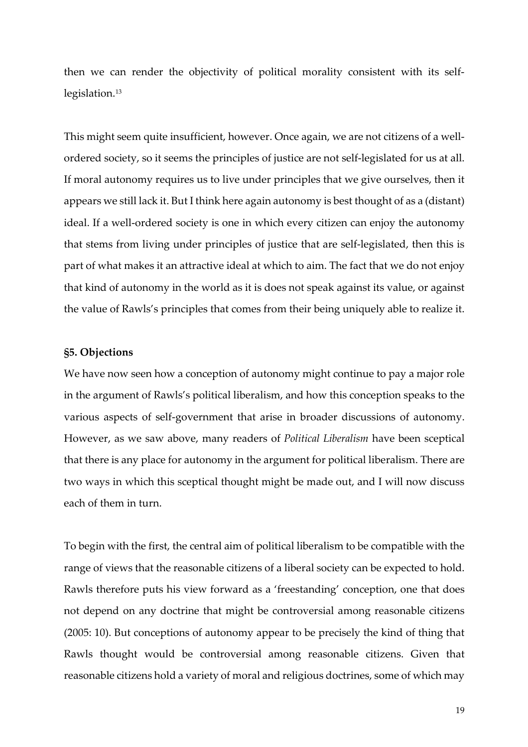then we can render the objectivity of political morality consistent with its selflegislation.<sup>13</sup>

This might seem quite insufficient, however. Once again, we are not citizens of a wellordered society, so it seems the principles of justice are not self-legislated for us at all. If moral autonomy requires us to live under principles that we give ourselves, then it appears we still lack it. But I think here again autonomy is best thought of as a (distant) ideal. If a well-ordered society is one in which every citizen can enjoy the autonomy that stems from living under principles of justice that are self-legislated, then this is part of what makes it an attractive ideal at which to aim. The fact that we do not enjoy that kind of autonomy in the world as it is does not speak against its value, or against the value of Rawls's principles that comes from their being uniquely able to realize it.

# **§5. Objections**

We have now seen how a conception of autonomy might continue to pay a major role in the argument of Rawls's political liberalism, and how this conception speaks to the various aspects of self-government that arise in broader discussions of autonomy. However, as we saw above, many readers of *Political Liberalism* have been sceptical that there is any place for autonomy in the argument for political liberalism. There are two ways in which this sceptical thought might be made out, and I will now discuss each of them in turn.

To begin with the first, the central aim of political liberalism to be compatible with the range of views that the reasonable citizens of a liberal society can be expected to hold. Rawls therefore puts his view forward as a 'freestanding' conception, one that does not depend on any doctrine that might be controversial among reasonable citizens (2005: 10). But conceptions of autonomy appear to be precisely the kind of thing that Rawls thought would be controversial among reasonable citizens. Given that reasonable citizens hold a variety of moral and religious doctrines, some of which may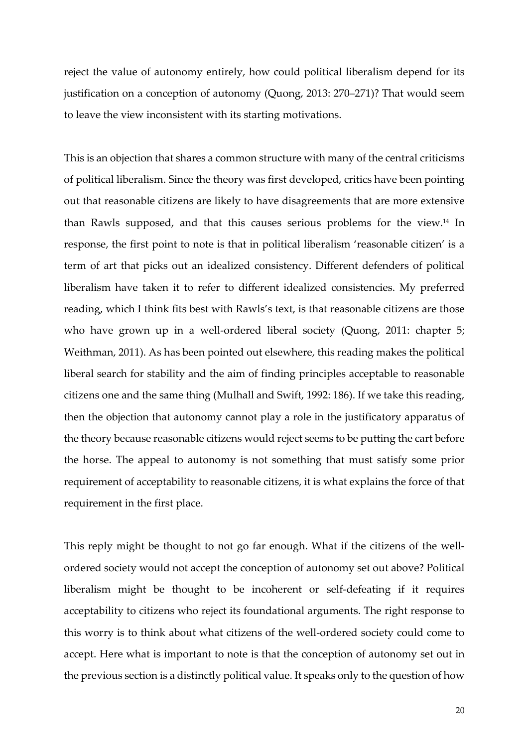reject the value of autonomy entirely, how could political liberalism depend for its justification on a conception of autonomy (Quong, 2013: 270–271)? That would seem to leave the view inconsistent with its starting motivations.

This is an objection that shares a common structure with many of the central criticisms of political liberalism. Since the theory was first developed, critics have been pointing out that reasonable citizens are likely to have disagreements that are more extensive than Rawls supposed, and that this causes serious problems for the view.14 In response, the first point to note is that in political liberalism 'reasonable citizen' is a term of art that picks out an idealized consistency. Different defenders of political liberalism have taken it to refer to different idealized consistencies. My preferred reading, which I think fits best with Rawls's text, is that reasonable citizens are those who have grown up in a well-ordered liberal society (Quong, 2011: chapter 5; Weithman, 2011). As has been pointed out elsewhere, this reading makes the political liberal search for stability and the aim of finding principles acceptable to reasonable citizens one and the same thing (Mulhall and Swift, 1992: 186). If we take this reading, then the objection that autonomy cannot play a role in the justificatory apparatus of the theory because reasonable citizens would reject seems to be putting the cart before the horse. The appeal to autonomy is not something that must satisfy some prior requirement of acceptability to reasonable citizens, it is what explains the force of that requirement in the first place.

This reply might be thought to not go far enough. What if the citizens of the wellordered society would not accept the conception of autonomy set out above? Political liberalism might be thought to be incoherent or self-defeating if it requires acceptability to citizens who reject its foundational arguments. The right response to this worry is to think about what citizens of the well-ordered society could come to accept. Here what is important to note is that the conception of autonomy set out in the previous section is a distinctly political value. It speaks only to the question of how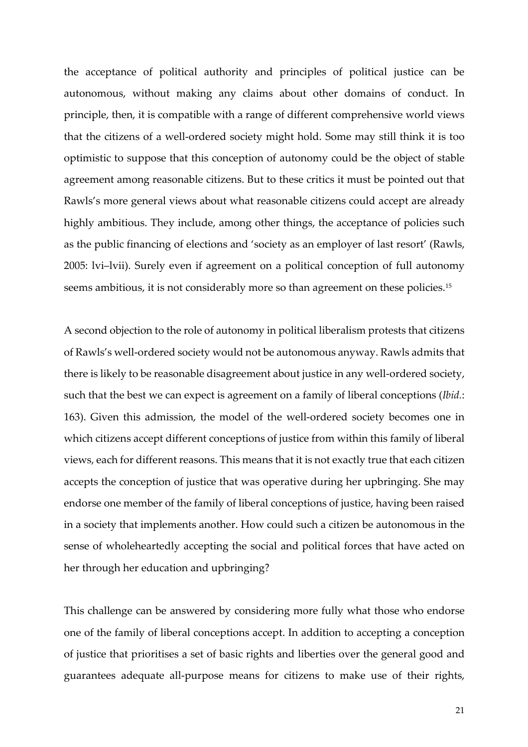the acceptance of political authority and principles of political justice can be autonomous, without making any claims about other domains of conduct. In principle, then, it is compatible with a range of different comprehensive world views that the citizens of a well-ordered society might hold. Some may still think it is too optimistic to suppose that this conception of autonomy could be the object of stable agreement among reasonable citizens. But to these critics it must be pointed out that Rawls's more general views about what reasonable citizens could accept are already highly ambitious. They include, among other things, the acceptance of policies such as the public financing of elections and 'society as an employer of last resort' (Rawls, 2005: lvi–lvii). Surely even if agreement on a political conception of full autonomy seems ambitious, it is not considerably more so than agreement on these policies.<sup>15</sup>

A second objection to the role of autonomy in political liberalism protests that citizens of Rawls's well-ordered society would not be autonomous anyway. Rawls admits that there is likely to be reasonable disagreement about justice in any well-ordered society, such that the best we can expect is agreement on a family of liberal conceptions (*Ibid.*: 163). Given this admission, the model of the well-ordered society becomes one in which citizens accept different conceptions of justice from within this family of liberal views, each for different reasons. This means that it is not exactly true that each citizen accepts the conception of justice that was operative during her upbringing. She may endorse one member of the family of liberal conceptions of justice, having been raised in a society that implements another. How could such a citizen be autonomous in the sense of wholeheartedly accepting the social and political forces that have acted on her through her education and upbringing?

This challenge can be answered by considering more fully what those who endorse one of the family of liberal conceptions accept. In addition to accepting a conception of justice that prioritises a set of basic rights and liberties over the general good and guarantees adequate all-purpose means for citizens to make use of their rights,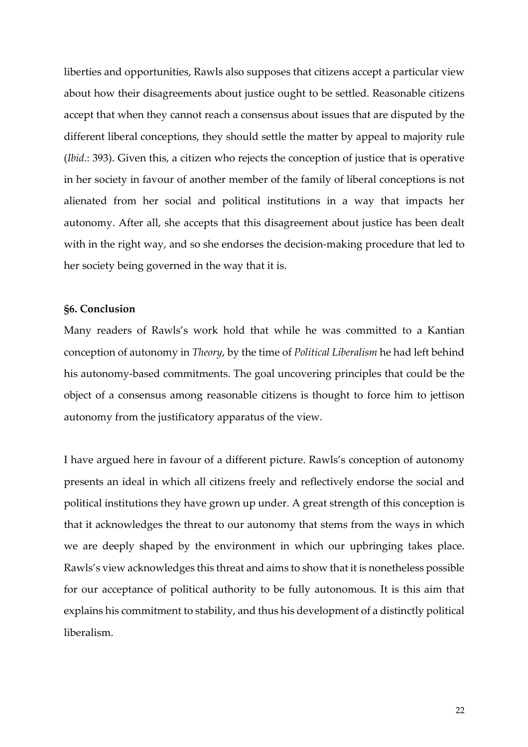liberties and opportunities, Rawls also supposes that citizens accept a particular view about how their disagreements about justice ought to be settled. Reasonable citizens accept that when they cannot reach a consensus about issues that are disputed by the different liberal conceptions, they should settle the matter by appeal to majority rule (*Ibid.*: 393). Given this, a citizen who rejects the conception of justice that is operative in her society in favour of another member of the family of liberal conceptions is not alienated from her social and political institutions in a way that impacts her autonomy. After all, she accepts that this disagreement about justice has been dealt with in the right way, and so she endorses the decision-making procedure that led to her society being governed in the way that it is.

# **§6. Conclusion**

Many readers of Rawls's work hold that while he was committed to a Kantian conception of autonomy in *Theory*, by the time of *Political Liberalism* he had left behind his autonomy-based commitments. The goal uncovering principles that could be the object of a consensus among reasonable citizens is thought to force him to jettison autonomy from the justificatory apparatus of the view.

I have argued here in favour of a different picture. Rawls's conception of autonomy presents an ideal in which all citizens freely and reflectively endorse the social and political institutions they have grown up under. A great strength of this conception is that it acknowledges the threat to our autonomy that stems from the ways in which we are deeply shaped by the environment in which our upbringing takes place. Rawls's view acknowledges this threat and aims to show that it is nonetheless possible for our acceptance of political authority to be fully autonomous. It is this aim that explains his commitment to stability, and thus his development of a distinctly political liberalism.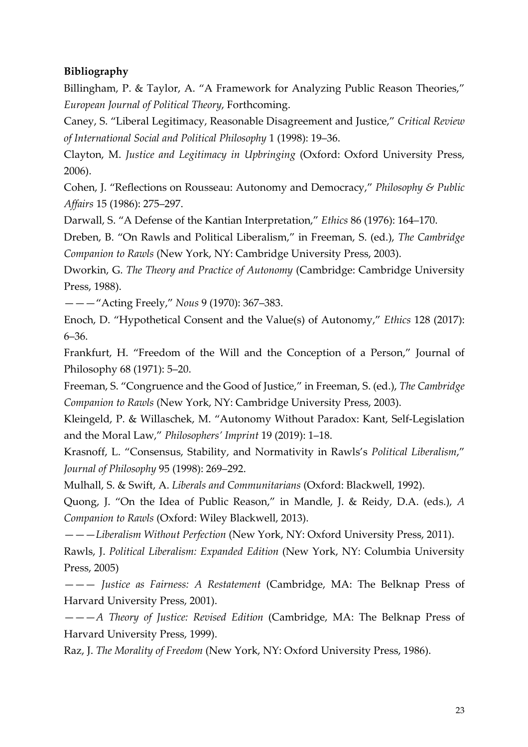# **Bibliography**

Billingham, P. & Taylor, A. "A Framework for Analyzing Public Reason Theories," *European Journal of Political Theory*, Forthcoming.

Caney, S. "Liberal Legitimacy, Reasonable Disagreement and Justice," *Critical Review of International Social and Political Philosophy* 1 (1998): 19–36.

Clayton, M. *Justice and Legitimacy in Upbringing* (Oxford: Oxford University Press, 2006).

Cohen, J. "Reflections on Rousseau: Autonomy and Democracy," *Philosophy & Public Affairs* 15 (1986): 275–297.

Darwall, S. "A Defense of the Kantian Interpretation," *Ethics* 86 (1976): 164–170.

Dreben, B. "On Rawls and Political Liberalism," in Freeman, S. (ed.), *The Cambridge Companion to Rawls* (New York, NY: Cambridge University Press, 2003).

Dworkin, G. *The Theory and Practice of Autonomy* (Cambridge: Cambridge University Press, 1988).

———"Acting Freely," *Nous* 9 (1970): 367–383.

Enoch, D. "Hypothetical Consent and the Value(s) of Autonomy," *Ethics* 128 (2017): 6–36.

Frankfurt, H. "Freedom of the Will and the Conception of a Person," Journal of Philosophy 68 (1971): 5–20.

Freeman, S. "Congruence and the Good of Justice," in Freeman, S. (ed.), *The Cambridge Companion to Rawls* (New York, NY: Cambridge University Press, 2003).

Kleingeld, P. & Willaschek, M. "Autonomy Without Paradox: Kant, Self-Legislation and the Moral Law," *Philosophers' Imprint* 19 (2019): 1–18.

Krasnoff, L. "Consensus, Stability, and Normativity in Rawls's *Political Liberalism*," *Journal of Philosophy* 95 (1998): 269–292.

Mulhall, S. & Swift, A. *Liberals and Communitarians* (Oxford: Blackwell, 1992).

Quong, J. "On the Idea of Public Reason," in Mandle, J. & Reidy, D.A. (eds.), *A Companion to Rawls* (Oxford: Wiley Blackwell, 2013).

———*Liberalism Without Perfection* (New York, NY: Oxford University Press, 2011).

Rawls, J. *Political Liberalism: Expanded Edition* (New York, NY: Columbia University Press, 2005)

——— *Justice as Fairness: A Restatement* (Cambridge, MA: The Belknap Press of Harvard University Press, 2001).

———*A Theory of Justice: Revised Edition* (Cambridge, MA: The Belknap Press of Harvard University Press, 1999).

Raz, J. *The Morality of Freedom* (New York, NY: Oxford University Press, 1986).